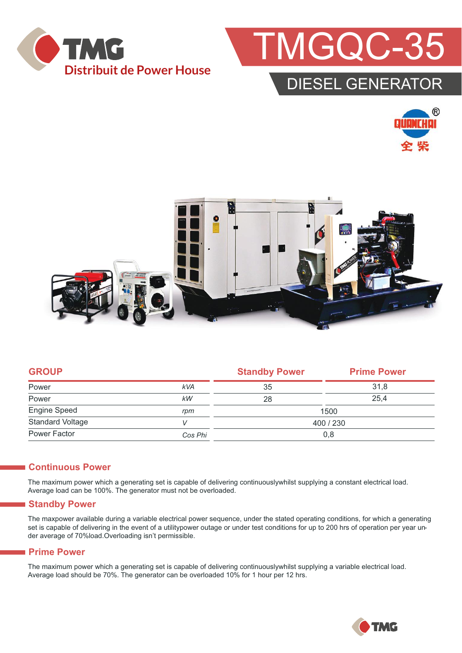



### DIESEL GENERATOR





|            | <b>Standby Power</b> | <b>Prime Power</b> |  |
|------------|----------------------|--------------------|--|
| <b>kVA</b> | 35                   | 31.8               |  |
| kW         | 28                   | 25.4               |  |
| rpm        | 1500                 |                    |  |
|            | 400 / 230            |                    |  |
| Cos Phi    | 0,8                  |                    |  |
|            |                      |                    |  |

#### **Continuous Power**

The maximum power which a generating set is capable of delivering continuouslywhilst supplying a constant electrical load. Average load can be 100%. The generator must not be overloaded.

#### **Standby Power**

The maxpower available during a variable electrical power sequence, under the stated operating conditions, for which a generating set is capable of delivering in the event of a utilitypower outage or under test conditions for up to 200 hrs of operation per year under average of 70%load.Overloading isn't permissible.

#### **Prime Power**

The maximum power which a generating set is capable of delivering continuouslywhilst supplying a variable electrical load. Average load should be 70%. The generator can be overloaded 10% for 1 hour per 12 hrs.

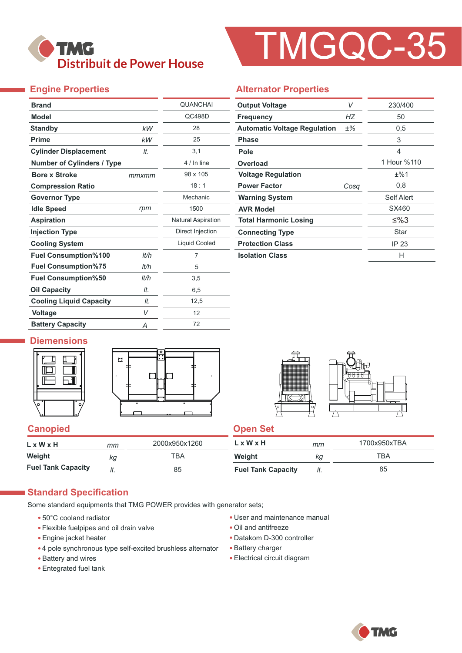

# TMGQC-35

#### **Engine Properties**

| <b>Brand</b>                      |       | <b>QUANCHAI</b>           |
|-----------------------------------|-------|---------------------------|
| <b>Model</b>                      |       | QC498D                    |
| <b>Standby</b>                    | kW    | 28                        |
| <b>Prime</b>                      | kW    | 25                        |
| <b>Cylinder Displacement</b>      | It.   | 3,1                       |
| <b>Number of Cylinders / Type</b> |       | 4 / In line               |
| <b>Bore x Stroke</b>              | mmxmm | 98 x 105                  |
| <b>Compression Ratio</b>          |       | 18:1                      |
| <b>Governor Type</b>              |       | Mechanic                  |
| <b>Idle Speed</b>                 | rpm   | 1500                      |
| <b>Aspiration</b>                 |       | <b>Natural Aspiration</b> |
| <b>Injection Type</b>             |       | Direct Injection          |
| <b>Cooling System</b>             |       | <b>Liquid Cooled</b>      |
| <b>Fuel Consumption%100</b>       | lt/h  | 7                         |
| <b>Fuel Consumption%75</b>        | lt/h  | 5                         |
| <b>Fuel Consumption%50</b>        | It/h  | 3,5                       |
| <b>Oil Capacity</b>               | It.   | 6,5                       |
| <b>Cooling Liquid Capacity</b>    | It.   | 12,5                      |
| <b>Voltage</b>                    | V     | 12                        |
| <b>Battery Capacity</b>           | Α     | 72                        |

#### **Alternator Properties**

| <b>Output Voltage</b>               | V     |             |  |
|-------------------------------------|-------|-------------|--|
| <b>Frequency</b>                    | НZ    | 50          |  |
| <b>Automatic Voltage Regulation</b> | $±\%$ | 0,5         |  |
| <b>Phase</b>                        |       | 3           |  |
| Pole                                |       | 4           |  |
| Overload                            |       | 1 Hour %110 |  |
| <b>Voltage Regulation</b>           |       | ±%1         |  |
| <b>Power Factor</b>                 | Cosa  | 0,8         |  |
| <b>Warning System</b>               |       | Self Alert  |  |
| <b>AVR Model</b>                    |       | SX460       |  |
| <b>Total Harmonic Losing</b>        |       | ≤%3         |  |
| <b>Connecting Type</b>              |       | Star        |  |
| <b>Protection Class</b>             |       | IP 23       |  |
| <b>Isolation Class</b>              |       | н           |  |

#### **Diemensions**





#### **Canopied Canopied Canopied**

| LxWxH                     | тт  | 2000x950x1260 | $L \times W \times H$     | mm  | 1700x950xTBA |
|---------------------------|-----|---------------|---------------------------|-----|--------------|
| Weight                    | КQ  | тва           | Weight                    | кg  | TBA          |
| <b>Fuel Tank Capacity</b> | ៸ι. | 85            | <b>Fuel Tank Capacity</b> | It. | 85           |

#### **Standard Specification**

Some standard equipments that TMG POWER provides with generator sets;

- 50°C cooland radiator
- Flexible fuelpipes and oil drain valve
- Engine jacket heater
- 4 pole synchronous type self-excited brushless alternator
- Battery and wires
- Entegrated fuel tank
- User and maintenance manual
- Oil and antifreeze
- Datakom D-300 controller
- Battery charger
- Electrical circuit diagram